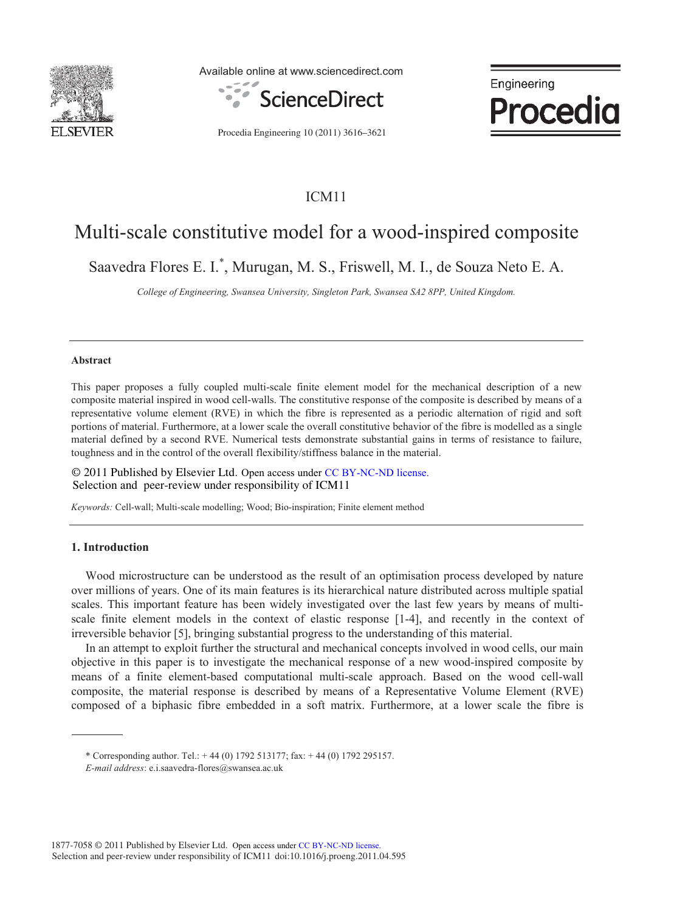

Available online at www.sciencedirect.com





Procedia Engineering 10 (2011) 3616–3621

# ICM11

# Multi-scale constitutive model for a wood-inspired composite

Saavedra Flores E. I.\* , Murugan, M. S., Friswell, M. I., de Souza Neto E. A.

*College of Engineering, Swansea University, Singleton Park, Swansea SA2 8PP, United Kingdom.* 

#### **Abstract**

This paper proposes a fully coupled multi-scale finite element model for the mechanical description of a new composite material inspired in wood cell-walls. The constitutive response of the composite is described by means of a representative volume element (RVE) in which the fibre is represented as a periodic alternation of rigid and soft portions of material. Furthermore, at a lower scale the overall constitutive behavior of the fibre is modelled as a single material defined by a second RVE. Numerical tests demonstrate substantial gains in terms of resistance to failure, toughness and in the control of the overall flexibility/stiffness balance in the material.

© 2011 Published by Elsevier Ltd. Open access under CC BY-NC-ND license.Selection and peer-review under responsibility of ICM11

*Keywords:* Cell-wall; Multi-scale modelling; Wood; Bio-inspiration; Finite element method

## **1. Introduction**

Wood microstructure can be understood as the result of an optimisation process developed by nature over millions of years. One of its main features is its hierarchical nature distributed across multiple spatial scales. This important feature has been widely investigated over the last few years by means of multiscale finite element models in the context of elastic response [1-4], and recently in the context of irreversible behavior [5], bringing substantial progress to the understanding of this material.

In an attempt to exploit further the structural and mechanical concepts involved in wood cells, our main objective in this paper is to investigate the mechanical response of a new wood-inspired composite by means of a finite element-based computational multi-scale approach. Based on the wood cell-wall composite, the material response is described by means of a Representative Volume Element (RVE) composed of a biphasic fibre embedded in a soft matrix. Furthermore, at a lower scale the fibre is

\* Corresponding author. Tel.: + 44 (0) 1792 513177; fax: + 44 (0) 1792 295157.

*E-mail address*: e.i.saavedra-flores@swansea.ac.uk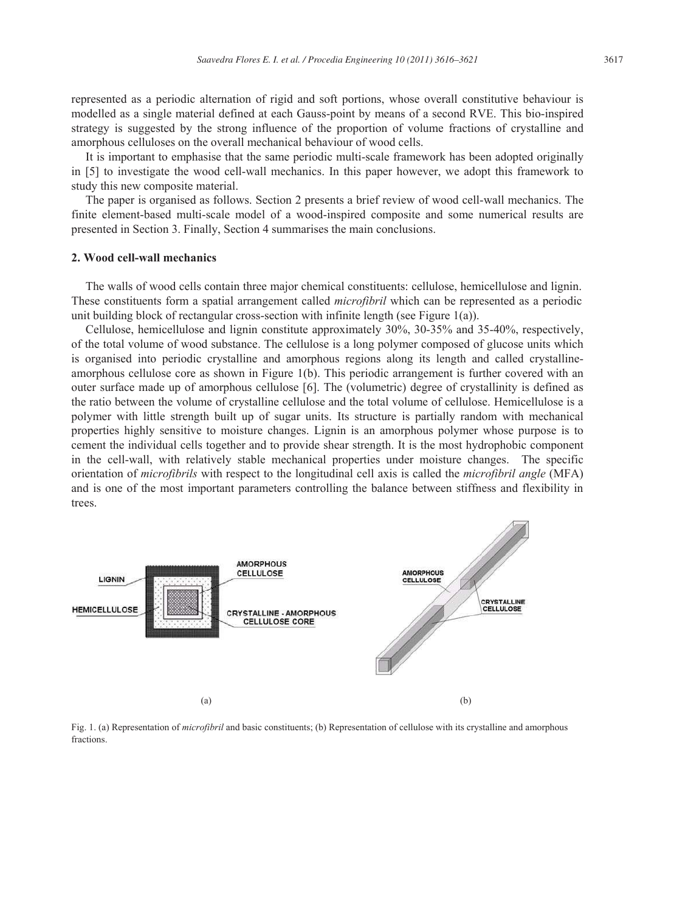represented as a periodic alternation of rigid and soft portions, whose overall constitutive behaviour is modelled as a single material defined at each Gauss-point by means of a second RVE. This bio-inspired strategy is suggested by the strong influence of the proportion of volume fractions of crystalline and amorphous celluloses on the overall mechanical behaviour of wood cells.

It is important to emphasise that the same periodic multi-scale framework has been adopted originally in [5] to investigate the wood cell-wall mechanics. In this paper however, we adopt this framework to study this new composite material.

The paper is organised as follows. Section 2 presents a brief review of wood cell-wall mechanics. The finite element-based multi-scale model of a wood-inspired composite and some numerical results are presented in Section 3. Finally, Section 4 summarises the main conclusions.

## **2. Wood cell-wall mechanics**

The walls of wood cells contain three major chemical constituents: cellulose, hemicellulose and lignin. These constituents form a spatial arrangement called *microfibril* which can be represented as a periodic unit building block of rectangular cross-section with infinite length (see Figure 1(a)).

Cellulose, hemicellulose and lignin constitute approximately 30%, 30-35% and 35-40%, respectively, of the total volume of wood substance. The cellulose is a long polymer composed of glucose units which is organised into periodic crystalline and amorphous regions along its length and called crystallineamorphous cellulose core as shown in Figure 1(b). This periodic arrangement is further covered with an outer surface made up of amorphous cellulose [6]. The (volumetric) degree of crystallinity is defined as the ratio between the volume of crystalline cellulose and the total volume of cellulose. Hemicellulose is a polymer with little strength built up of sugar units. Its structure is partially random with mechanical properties highly sensitive to moisture changes. Lignin is an amorphous polymer whose purpose is to cement the individual cells together and to provide shear strength. It is the most hydrophobic component in the cell-wall, with relatively stable mechanical properties under moisture changes. The specific orientation of *microfibrils* with respect to the longitudinal cell axis is called the *microfibril angle* (MFA) and is one of the most important parameters controlling the balance between stiffness and flexibility in trees.



Fig. 1. (a) Representation of *microfibril* and basic constituents; (b) Representation of cellulose with its crystalline and amorphous fractions.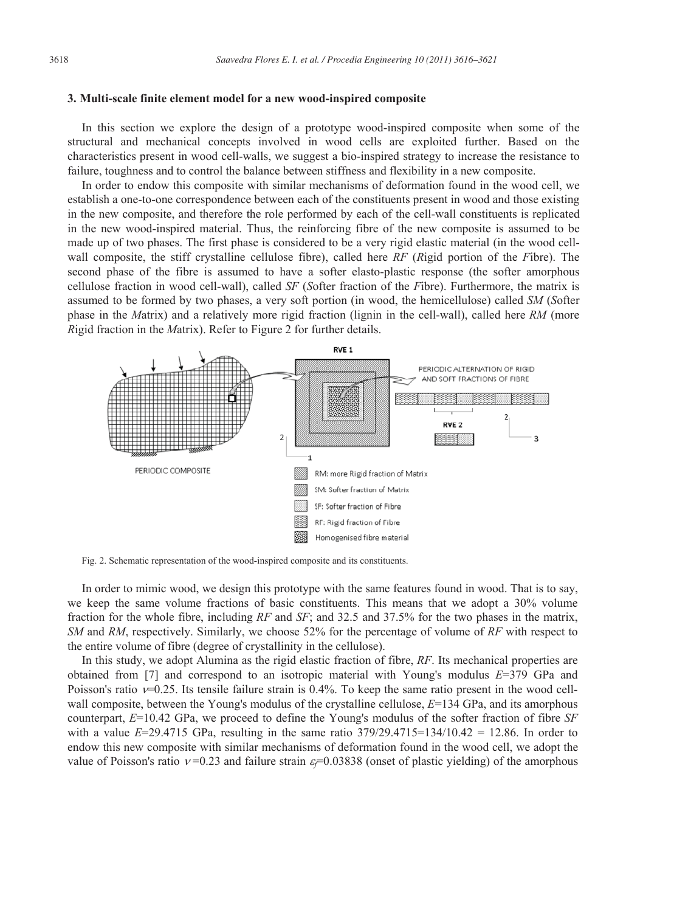#### **3. Multi-scale finite element model for a new wood-inspired composite**

In this section we explore the design of a prototype wood-inspired composite when some of the structural and mechanical concepts involved in wood cells are exploited further. Based on the characteristics present in wood cell-walls, we suggest a bio-inspired strategy to increase the resistance to failure, toughness and to control the balance between stiffness and flexibility in a new composite.

In order to endow this composite with similar mechanisms of deformation found in the wood cell, we establish a one-to-one correspondence between each of the constituents present in wood and those existing in the new composite, and therefore the role performed by each of the cell-wall constituents is replicated in the new wood-inspired material. Thus, the reinforcing fibre of the new composite is assumed to be made up of two phases. The first phase is considered to be a very rigid elastic material (in the wood cellwall composite, the stiff crystalline cellulose fibre), called here *RF* (*R*igid portion of the *F*ibre). The second phase of the fibre is assumed to have a softer elasto-plastic response (the softer amorphous cellulose fraction in wood cell-wall), called *SF* (*S*ofter fraction of the *F*ibre). Furthermore, the matrix is assumed to be formed by two phases, a very soft portion (in wood, the hemicellulose) called *SM* (*S*ofter phase in the *M*atrix) and a relatively more rigid fraction (lignin in the cell-wall), called here *RM* (more *R*igid fraction in the *M*atrix). Refer to Figure 2 for further details.



Fig. 2. Schematic representation of the wood-inspired composite and its constituents.

In order to mimic wood, we design this prototype with the same features found in wood. That is to say, we keep the same volume fractions of basic constituents. This means that we adopt a 30% volume fraction for the whole fibre, including *RF* and *SF*; and 32.5 and 37.5% for the two phases in the matrix, *SM* and *RM*, respectively. Similarly, we choose 52% for the percentage of volume of *RF* with respect to the entire volume of fibre (degree of crystallinity in the cellulose).

In this study, we adopt Alumina as the rigid elastic fraction of fibre, *RF*. Its mechanical properties are obtained from [7] and correspond to an isotropic material with Young's modulus *E*=379 GPa and Poisson's ratio  $v=0.25$ . Its tensile failure strain is 0.4%. To keep the same ratio present in the wood cellwall composite, between the Young's modulus of the crystalline cellulose,  $E=134$  GPa, and its amorphous counterpart, *E*=10.42 GPa, we proceed to define the Young's modulus of the softer fraction of fibre *SF* with a value  $E=29.4715$  GPa, resulting in the same ratio  $379/29.4715=134/10.42 = 12.86$ . In order to endow this new composite with similar mechanisms of deformation found in the wood cell, we adopt the value of Poisson's ratio  $v=0.23$  and failure strain  $\varepsilon=0.03838$  (onset of plastic yielding) of the amorphous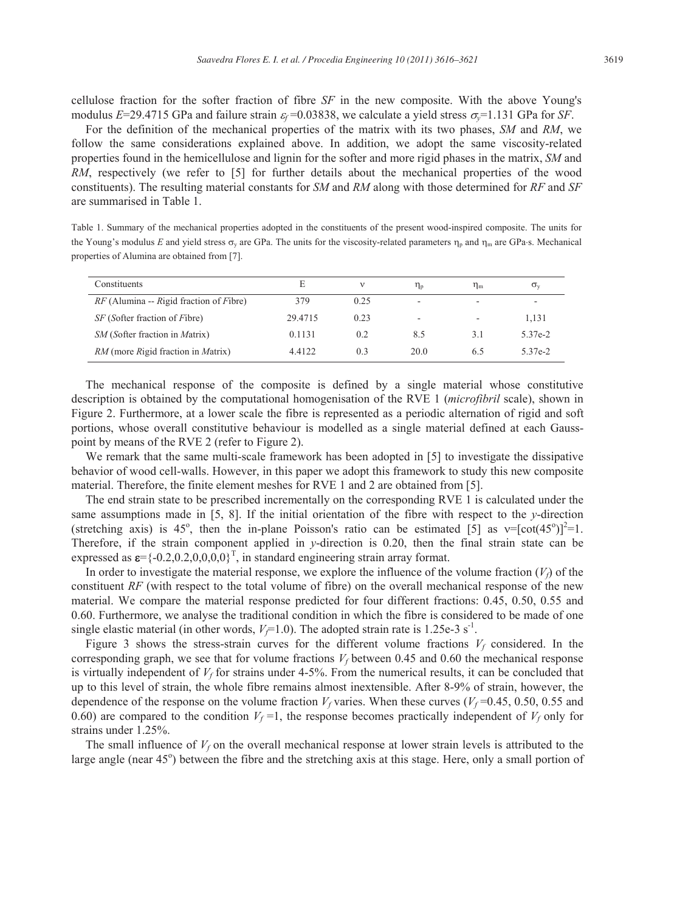cellulose fraction for the softer fraction of fibre *SF* in the new composite. With the above Young's modulus *E*=29.4715 GPa and failure strain  $\varepsilon_f$ =0.03838, we calculate a yield stress  $\sigma_y$ =1.131 GPa for *SF*.

For the definition of the mechanical properties of the matrix with its two phases, *SM* and *RM*, we follow the same considerations explained above. In addition, we adopt the same viscosity-related properties found in the hemicellulose and lignin for the softer and more rigid phases in the matrix, *SM* and *RM*, respectively (we refer to [5] for further details about the mechanical properties of the wood constituents). The resulting material constants for *SM* and *RM* along with those determined for *RF* and *SF* are summarised in Table 1.

Table 1. Summary of the mechanical properties adopted in the constituents of the present wood-inspired composite. The units for the Young's modulus *E* and yield stress  $\sigma_y$  are GPa. The units for the viscosity-related parameters  $\eta_p$  and  $\eta_m$  are GPa·s. Mechanical properties of Alumina are obtained from [7].

| Constituents                                             | E       |      | ηp   | $\eta_{\rm m}$ | $\sigma_{v}$ |
|----------------------------------------------------------|---------|------|------|----------------|--------------|
| $RF$ (Alumina -- Rigid fraction of Fibre)                | 379     | 0.25 | -    |                | ۰            |
| <i>SF</i> ( <i>Softer fraction of Fibre</i> )            | 29.4715 | 0.23 | -    | ۰              | 1.131        |
| <i>SM</i> ( <i>Softer fraction in Matrix</i> )           | 0.1131  | 0.2  | 8.5  | 3.1            | 5.37e-2      |
| <i>RM</i> (more <i>Rigid</i> fraction in <i>Matrix</i> ) | 4.4122  | 0.3  | 20.0 | 6.5            | 5.37e-2      |

The mechanical response of the composite is defined by a single material whose constitutive description is obtained by the computational homogenisation of the RVE 1 (*microfibril* scale), shown in Figure 2. Furthermore, at a lower scale the fibre is represented as a periodic alternation of rigid and soft portions, whose overall constitutive behaviour is modelled as a single material defined at each Gausspoint by means of the RVE 2 (refer to Figure 2).

We remark that the same multi-scale framework has been adopted in [5] to investigate the dissipative behavior of wood cell-walls. However, in this paper we adopt this framework to study this new composite material. Therefore, the finite element meshes for RVE 1 and 2 are obtained from [5].

The end strain state to be prescribed incrementally on the corresponding RVE 1 is calculated under the same assumptions made in [5, 8]. If the initial orientation of the fibre with respect to the *y*-direction (stretching axis) is 45<sup>o</sup>, then the in-plane Poisson's ratio can be estimated [5] as  $v=[cot(45^{\circ})]^{2}=1$ . Therefore, if the strain component applied in *y*-direction is 0.20, then the final strain state can be expressed as  $\boldsymbol{\varepsilon} = \{-0.2, 0.2, 0, 0, 0\}^T$ , in standard engineering strain array format.

In order to investigate the material response, we explore the influence of the volume fraction  $(V_f)$  of the constituent *RF* (with respect to the total volume of fibre) on the overall mechanical response of the new material. We compare the material response predicted for four different fractions: 0.45, 0.50, 0.55 and 0.60. Furthermore, we analyse the traditional condition in which the fibre is considered to be made of one single elastic material (in other words,  $V_f$ =1.0). The adopted strain rate is 1.25e-3 s<sup>-1</sup>.

Figure 3 shows the stress-strain curves for the different volume fractions  $V_f$  considered. In the corresponding graph, we see that for volume fractions  $V_f$  between 0.45 and 0.60 the mechanical response is virtually independent of  $V_f$  for strains under 4-5%. From the numerical results, it can be concluded that up to this level of strain, the whole fibre remains almost inextensible. After 8-9% of strain, however, the dependence of the response on the volume fraction  $V_f$  varies. When these curves ( $V_f$ =0.45, 0.50, 0.55 and 0.60) are compared to the condition  $V_f$ =1, the response becomes practically independent of  $V_f$  only for strains under 1.25%.

The small influence of  $V_f$  on the overall mechanical response at lower strain levels is attributed to the large angle (near 45°) between the fibre and the stretching axis at this stage. Here, only a small portion of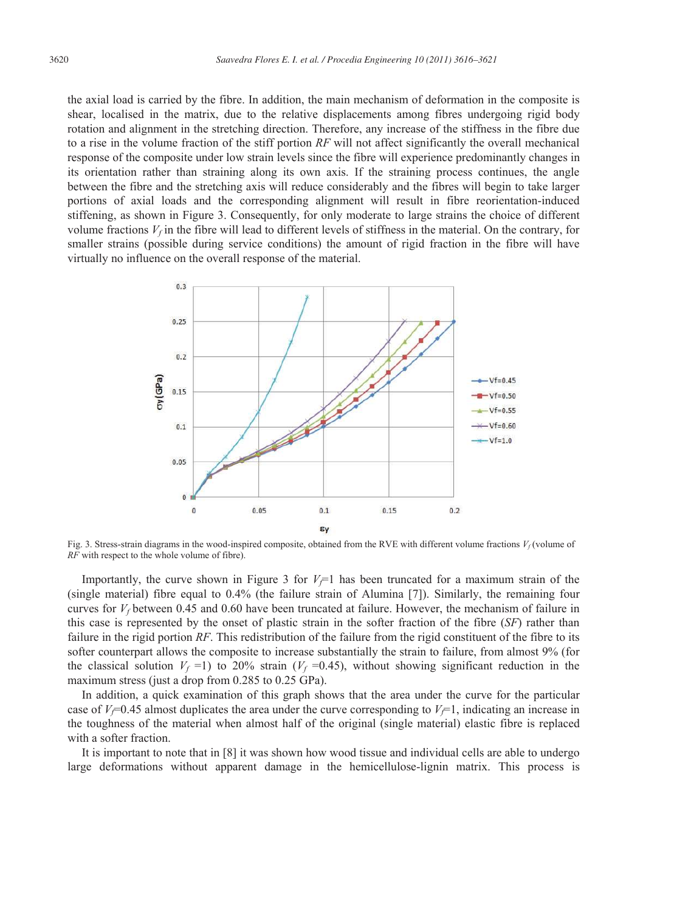the axial load is carried by the fibre. In addition, the main mechanism of deformation in the composite is shear, localised in the matrix, due to the relative displacements among fibres undergoing rigid body rotation and alignment in the stretching direction. Therefore, any increase of the stiffness in the fibre due to a rise in the volume fraction of the stiff portion *RF* will not affect significantly the overall mechanical response of the composite under low strain levels since the fibre will experience predominantly changes in its orientation rather than straining along its own axis. If the straining process continues, the angle between the fibre and the stretching axis will reduce considerably and the fibres will begin to take larger portions of axial loads and the corresponding alignment will result in fibre reorientation-induced stiffening, as shown in Figure 3. Consequently, for only moderate to large strains the choice of different volume fractions  $V_f$  in the fibre will lead to different levels of stiffness in the material. On the contrary, for smaller strains (possible during service conditions) the amount of rigid fraction in the fibre will have virtually no influence on the overall response of the material.



Fig. 3. Stress-strain diagrams in the wood-inspired composite, obtained from the RVE with different volume fractions  $V_f$  (volume of *RF* with respect to the whole volume of fibre).

Importantly, the curve shown in Figure 3 for  $V_f$ =1 has been truncated for a maximum strain of the (single material) fibre equal to 0.4% (the failure strain of Alumina [7]). Similarly, the remaining four curves for  $V_f$  between 0.45 and 0.60 have been truncated at failure. However, the mechanism of failure in this case is represented by the onset of plastic strain in the softer fraction of the fibre (*SF*) rather than failure in the rigid portion *RF*. This redistribution of the failure from the rigid constituent of the fibre to its softer counterpart allows the composite to increase substantially the strain to failure, from almost 9% (for the classical solution  $V_f$  =1) to 20% strain ( $V_f$  =0.45), without showing significant reduction in the maximum stress (just a drop from 0.285 to 0.25 GPa).

In addition, a quick examination of this graph shows that the area under the curve for the particular case of  $V_f$ =0.45 almost duplicates the area under the curve corresponding to  $V_f$ =1, indicating an increase in the toughness of the material when almost half of the original (single material) elastic fibre is replaced with a softer fraction.

It is important to note that in [8] it was shown how wood tissue and individual cells are able to undergo large deformations without apparent damage in the hemicellulose-lignin matrix. This process is